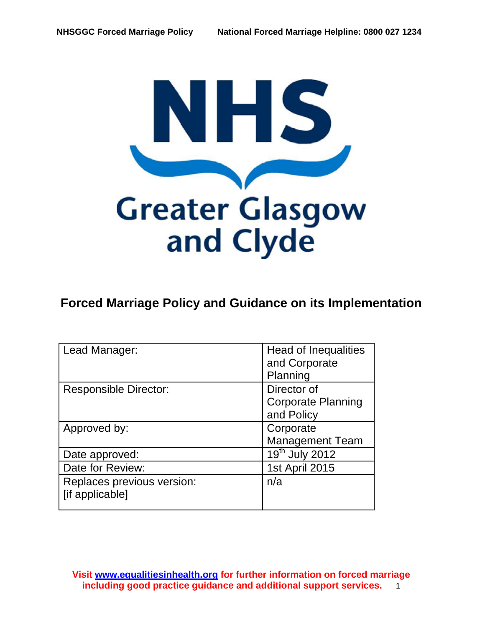

# **Forced Marriage Policy and Guidance on its Implementation**

| Lead Manager:                | Head of Inequalities                    |
|------------------------------|-----------------------------------------|
|                              | and Corporate                           |
|                              | Planning                                |
| <b>Responsible Director:</b> | Director of                             |
|                              | <b>Corporate Planning</b>               |
|                              | and Policy                              |
| Approved by:                 | Corporate                               |
|                              | <b>Management Team</b>                  |
| Date approved:               | $\overline{19}$ <sup>th</sup> July 2012 |
| Date for Review:             | 1st April 2015                          |
| Replaces previous version:   | n/a                                     |
| [if applicable]              |                                         |
|                              |                                         |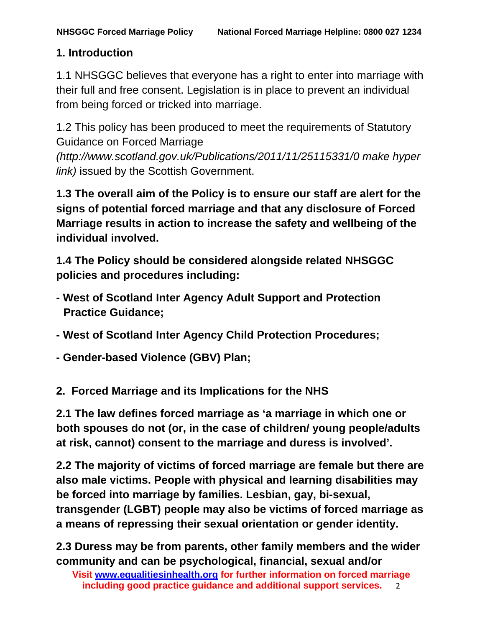#### **1. Introduction**

1.1 NHSGGC believes that everyone has a right to enter into marriage with their full and free consent. Legislation is in place to prevent an individual from being forced or tricked into marriage.

1.2 This policy has been produced to meet the requirements of Statutory Guidance on Forced Marriage

*(http://www.scotland.gov.uk/Publications/2011/11/25115331/0 make hyper link)* issued by the Scottish Government.

**1.3 The overall aim of the Policy is to ensure our staff are alert for the signs of potential forced marriage and that any disclosure of Forced Marriage results in action to increase the safety and wellbeing of the individual involved.** 

**1.4 The Policy should be considered alongside related NHSGGC policies and procedures including:** 

- **West of Scotland Inter Agency Adult Support and Protection Practice Guidance;**
- **West of Scotland Inter Agency Child Protection Procedures;**
- **Gender-based Violence (GBV) Plan;**

**2. Forced Marriage and its Implications for the NHS** 

**2.1 The law defines forced marriage as 'a marriage in which one or both spouses do not (or, in the case of children/ young people/adults at risk, cannot) consent to the marriage and duress is involved'.** 

**2.2 The majority of victims of forced marriage are female but there are also male victims. People with physical and learning disabilities may be forced into marriage by families. Lesbian, gay, bi-sexual, transgender (LGBT) people may also be victims of forced marriage as a means of repressing their sexual orientation or gender identity.** 

**2.3 Duress may be from parents, other family members and the wider community and can be psychological, financial, sexual and/or**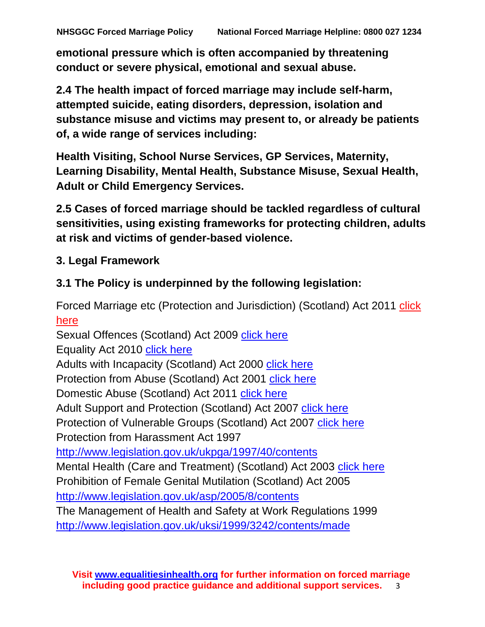**emotional pressure which is often accompanied by threatening conduct or severe physical, emotional and sexual abuse.** 

**2.4 The health impact of forced marriage may include self-harm, attempted suicide, eating disorders, depression, isolation and substance misuse and victims may present to, or already be patients of, a wide range of services including:** 

**Health Visiting, School Nurse Services, GP Services, Maternity, Learning Disability, Mental Health, Substance Misuse, Sexual Health, Adult or Child Emergency Services.** 

**2.5 Cases of forced marriage should be tackled regardless of cultural sensitivities, using existing frameworks for protecting children, adults at risk and victims of gender-based violence.** 

## **3. Legal Framework**

## **3.1 The Policy is underpinned by the following legislation:**

Forced Marriage etc (Protection and Jurisdiction) (Scotland) Act 2011 [click](http://legislation.gov.uk/asp/2011/15/contents/enacted)  [here](http://legislation.gov.uk/asp/2011/15/contents/enacted)

Sexual Offences (Scotland) Act 2009 [click here](http://www.legislation.gov.uk/asp/2009/9/contents)

Equality Act 2010 [click here](http://www.legislation.gov.uk/ukpga/2010/15/contents)

Adults with Incapacity (Scotland) Act 2000 [click here](http://www.opsi.gov.uk/legislation/scotland/acts2000/asp_20000004_en_1)

Protection from Abuse (Scotland) Act 2001 [click here](http://www.legislation.gov.uk/asp/2001/14/introduction)

Domestic Abuse (Scotland) Act 2011 click here

Adult Support and Protection (Scotland) Act 2007 [click here](http://www.opsi.gov.uk/legislation/scotland/acts2007/asp_20070010_en_1)

Protection of Vulnerable Groups (Scotland) Act 2007 [click here](http://www.opsi.gov.uk/legislation/scotland/acts2007/asp_20070014_en_1)

Protection from Harassment Act 1997

http://www.legislation.gov.uk/ukpga/1997/40/contents

Mental Health (Care and Treatment) (Scotland) Act 2003 [click here](http://www.opsi.gov.uk/legislation/scotland/acts2003/asp_20030013_en_1) Prohibition of Female Genital Mutilation (Scotland) Act 2005

<http://www.legislation.gov.uk/asp/2005/8/contents>

The Management of Health and Safety at Work Regulations 1999 <http://www.legislation.gov.uk/uksi/1999/3242/contents/made>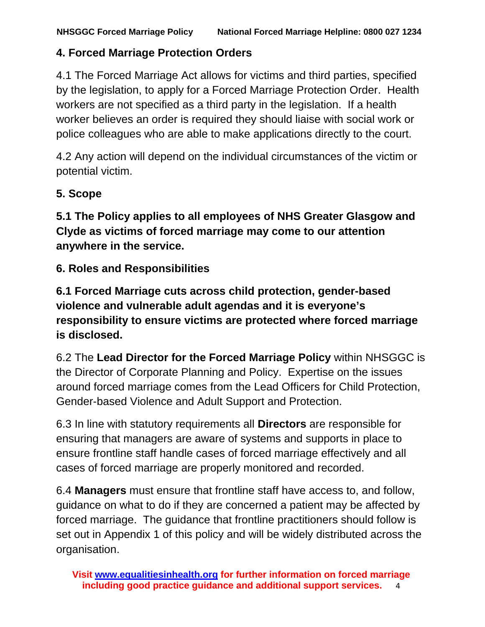### **4. Forced Marriage Protection Orders**

4.1 The Forced Marriage Act allows for victims and third parties, specified by the legislation, to apply for a Forced Marriage Protection Order. Health workers are not specified as a third party in the legislation. If a health worker believes an order is required they should liaise with social work or police colleagues who are able to make applications directly to the court.

4.2 Any action will depend on the individual circumstances of the victim or potential victim.

#### **5. Scope**

**5.1 The Policy applies to all employees of NHS Greater Glasgow and Clyde as victims of forced marriage may come to our attention anywhere in the service.** 

**6. Roles and Responsibilities** 

**6.1 Forced Marriage cuts across child protection, gender-based violence and vulnerable adult agendas and it is everyone's responsibility to ensure victims are protected where forced marriage is disclosed.** 

6.2 The **Lead Director for the Forced Marriage Policy** within NHSGGC is the Director of Corporate Planning and Policy. Expertise on the issues around forced marriage comes from the Lead Officers for Child Protection, Gender-based Violence and Adult Support and Protection.

6.3 In line with statutory requirements all **Directors** are responsible for ensuring that managers are aware of systems and supports in place to ensure frontline staff handle cases of forced marriage effectively and all cases of forced marriage are properly monitored and recorded.

6.4 **Managers** must ensure that frontline staff have access to, and follow, guidance on what to do if they are concerned a patient may be affected by forced marriage. The guidance that frontline practitioners should follow is set out in Appendix 1 of this policy and will be widely distributed across the organisation.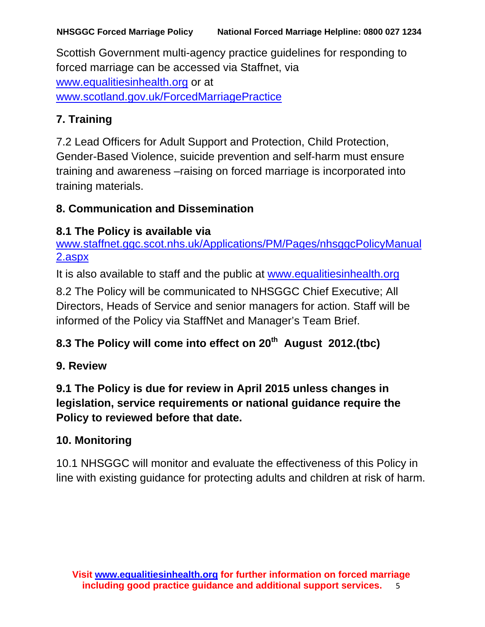Scottish Government multi-agency practice guidelines for responding to forced marriage can be accessed via Staffnet, via [www.equalitiesinhealth.org](http://www.equalitiesinhealth.org/) or at [www.scotland.gov.uk/ForcedMarriagePractice](http://www.scotland.gov.uk/ForcedMarriagePractice)

## **7. Training**

7.2 Lead Officers for Adult Support and Protection, Child Protection, Gender-Based Violence, suicide prevention and self-harm must ensure training and awareness –raising on forced marriage is incorporated into training materials.

### **8. Communication and Dissemination**

## **8.1 The Policy is available via**

[www.staffnet.ggc.scot.nhs.uk/Applications/PM/Pages/nhsggcPolicyManual](http://www.staffnet.ggc.scot.nhs.uk/Applications/PM/Pages/nhsggcPolicyManual2.aspx) [2.aspx](http://www.staffnet.ggc.scot.nhs.uk/Applications/PM/Pages/nhsggcPolicyManual2.aspx)

It is also available to staff and the public at [www.equalitiesinhealth.org](http://www.equalitiesinhealth.org/)

8.2 The Policy will be communicated to NHSGGC Chief Executive; All Directors, Heads of Service and senior managers for action. Staff will be informed of the Policy via StaffNet and Manager's Team Brief.

## 8.3 The Policy will come into effect on 20<sup>th</sup> August 2012.(tbc)

## **9. Review**

## **9.1 The Policy is due for review in April 2015 unless changes in legislation, service requirements or national guidance require the Policy to reviewed before that date.**

## **10. Monitoring**

10.1 NHSGGC will monitor and evaluate the effectiveness of this Policy in line with existing guidance for protecting adults and children at risk of harm.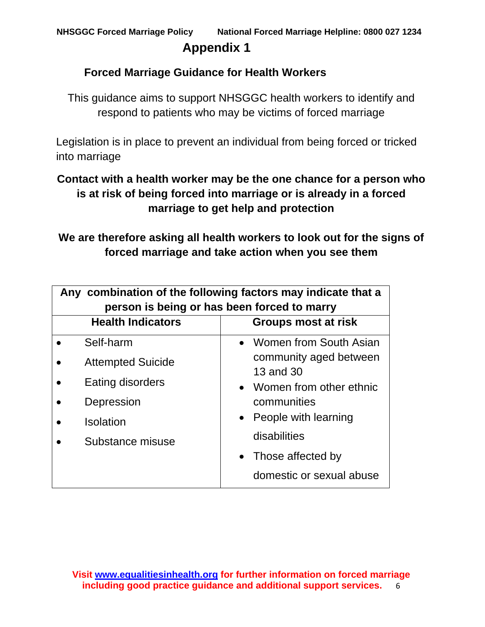## **Appendix 1**

#### **Forced Marriage Guidance for Health Workers**

This guidance aims to support NHSGGC health workers to identify and respond to patients who may be victims of forced marriage

Legislation is in place to prevent an individual from being forced or tricked into marriage

## **Contact with a health worker may be the one chance for a person who is at risk of being forced into marriage or is already in a forced marriage to get help and protection**

**We are therefore asking all health workers to look out for the signs of forced marriage and take action when you see them**

| Any combination of the following factors may indicate that a<br>person is being or has been forced to marry |                                     |  |
|-------------------------------------------------------------------------------------------------------------|-------------------------------------|--|
| <b>Health Indicators</b>                                                                                    | Groups most at risk                 |  |
| Self-harm                                                                                                   | • Women from South Asian            |  |
| <b>Attempted Suicide</b>                                                                                    | community aged between<br>13 and 30 |  |
| Eating disorders                                                                                            | • Women from other ethnic           |  |
| Depression                                                                                                  | communities                         |  |
| <b>Isolation</b>                                                                                            | People with learning<br>$\bullet$   |  |
| Substance misuse                                                                                            | disabilities                        |  |
|                                                                                                             | • Those affected by                 |  |
|                                                                                                             | domestic or sexual abuse            |  |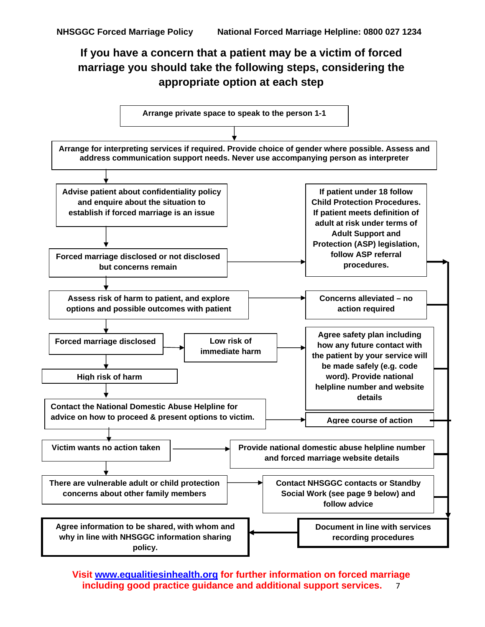## **If you have a concern that a patient may be a victim of forced marriage you should take the following steps, considering the appropriate option at each step**

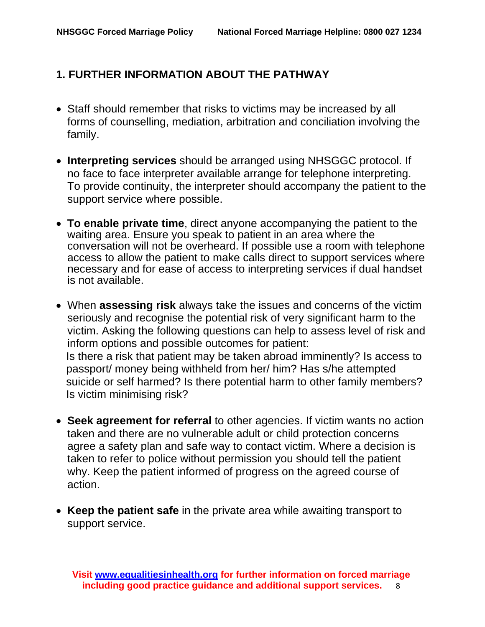### **1. FURTHER INFORMATION ABOUT THE PATHWAY**

- Staff should remember that risks to victims may be increased by all forms of counselling, mediation, arbitration and conciliation involving the family.
- **Interpreting services** should be arranged using NHSGGC protocol. If no face to face interpreter available arrange for telephone interpreting. To provide continuity, the interpreter should accompany the patient to the support service where possible.
- • **To enable private time**, direct anyone accompanying the patient to the waiting area. Ensure you speak to patient in an area where the conversation will not be overheard. If possible use a room with telephone access to allow the patient to make calls direct to support services where necessary and for ease of access to interpreting services if dual handset is not available.
- When **assessing risk** always take the issues and concerns of the victim seriously and recognise the potential risk of very significant harm to the victim. Asking the following questions can help to assess level of risk and inform options and possible outcomes for patient: Is there a risk that patient may be taken abroad imminently? Is access to passport/ money being withheld from her/ him? Has s/he attempted suicide or self harmed? Is there potential harm to other family members? Is victim minimising risk?
- **Seek agreement for referral** to other agencies. If victim wants no action taken and there are no vulnerable adult or child protection concerns agree a safety plan and safe way to contact victim. Where a decision is taken to refer to police without permission you should tell the patient why. Keep the patient informed of progress on the agreed course of action.
- **Keep the patient safe** in the private area while awaiting transport to support service.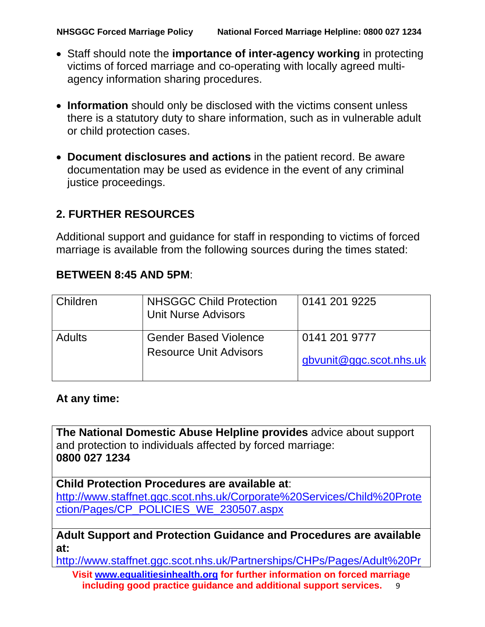- Staff should note the **importance of inter-agency working** in protecting victims of forced marriage and co-operating with locally agreed multiagency information sharing procedures.
- **Information** should only be disclosed with the victims consent unless there is a statutory duty to share information, such as in vulnerable adult or child protection cases.
- **Document disclosures and actions** in the patient record. Be aware documentation may be used as evidence in the event of any criminal justice proceedings.

#### **2. FURTHER RESOURCES**

Additional support and guidance for staff in responding to victims of forced marriage is available from the following sources during the times stated:

#### **BETWEEN 8:45 AND 5PM**:

| Children      | <b>NHSGGC Child Protection</b><br><b>Unit Nurse Advisors</b> | 0141 201 9225           |
|---------------|--------------------------------------------------------------|-------------------------|
| <b>Adults</b> | <b>Gender Based Violence</b>                                 | 0141 201 9777           |
|               | <b>Resource Unit Advisors</b>                                | gbyunit@ggc.scot.nhs.uk |

#### **At any time:**

**The National Domestic Abuse Helpline provides** advice about support and protection to individuals affected by forced marriage: **0800 027 1234** 

**Child Protection Procedures are available at**:

[http://www.staffnet.ggc.scot.nhs.uk/Corporate%20Services/Child%20Prote](http://www.staffnet.ggc.scot.nhs.uk/Corporate%20Services/Child%20Protection/Pages/CP_POLICIES_WE_230507.aspx) [ction/Pages/CP\\_POLICIES\\_WE\\_230507.aspx](http://www.staffnet.ggc.scot.nhs.uk/Corporate%20Services/Child%20Protection/Pages/CP_POLICIES_WE_230507.aspx)

#### **Adult Support and Protection Guidance and Procedures are available at:**

[http://www.staffnet.ggc.scot.nhs.uk/Partnerships/CHPs/Pages/Adult%20Pr](http://www.staffnet.ggc.scot.nhs.uk/Partnerships/CHPs/Pages/Adult%20Protection%20Procedures.aspx)